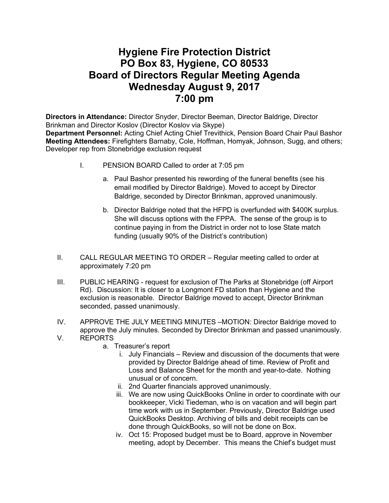## **Hygiene Fire Protection District PO Box 83, Hygiene, CO 80533 Board of Directors Regular Meeting Agenda Wednesday August 9, 2017 7:00 pm**

**Directors in Attendance:** Director Snyder, Director Beeman, Director Baldrige, Director Brinkman and Director Koslov (Director Koslov via Skype) **Department Personnel:** Acting Chief Acting Chief Trevithick, Pension Board Chair Paul Bashor **Meeting Attendees:** Firefighters Barnaby, Cole, Hoffman, Homyak, Johnson, Sugg, and others; Developer rep from Stonebridge exclusion request

- - I. PENSION BOARD Called to order at 7:05 pm
		- a. Paul Bashor presented his rewording of the funeral benefits (see his email modified by Director Baldrige). Moved to accept by Director Baldrige, seconded by Director Brinkman, approved unanimously.
		- b. Director Baldrige noted that the HFPD is overfunded with \$400K surplus. She will discuss options with the FPPA. The sense of the group is to continue paying in from the District in order not to lose State match funding (usually 90% of the District's contribution)
- II. CALL REGULAR MEETING TO ORDER Regular meeting called to order at approximately 7:20 pm
- III. PUBLIC HEARING request for exclusion of The Parks at Stonebridge (off Airport Rd). Discussion: It is closer to a Longmont FD station than Hygiene and the exclusion is reasonable. Director Baldrige moved to accept, Director Brinkman seconded, passed unanimously.
- IV. APPROVE THE JULY MEETING MINUTES –MOTION: Director Baldrige moved to approve the July minutes. Seconded by Director Brinkman and passed unanimously.
- V. REPORTS
	- a. Treasurer's report
		- i. July Financials Review and discussion of the documents that were provided by Director Baldrige ahead of time. Review of Profit and Loss and Balance Sheet for the month and year-to-date. Nothing unusual or of concern.
		- ii. 2nd Quarter financials approved unanimously.
		- iii. We are now using QuickBooks Online in order to coordinate with our bookkeeper, Vicki Tiedeman, who is on vacation and will begin part time work with us in September. Previously, Director Baldrige used QuickBooks Desktop. Archiving of bills and debit receipts can be done through QuickBooks, so will not be done on Box.
		- iv. Oct 15: Proposed budget must be to Board, approve in November meeting, adopt by December. This means the Chief's budget must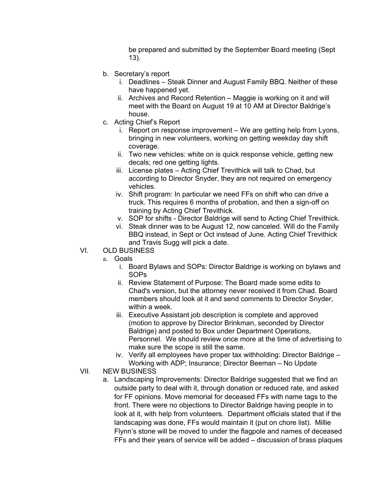be prepared and submitted by the September Board meeting (Sept 13).

- b. Secretary's report
	- i. Deadlines Steak Dinner and August Family BBQ. Neither of these have happened yet.
	- ii. Archives and Record Retention Maggie is working on it and will meet with the Board on August 19 at 10 AM at Director Baldrige's house.
- c. Acting Chief's Report
	- i. Report on response improvement We are getting help from Lyons, bringing in new volunteers, working on getting weekday day shift coverage.
	- ii. Two new vehicles: white on is quick response vehicle, getting new decals; red one getting lights.
	- iii. License plates Acting Chief Trevithick will talk to Chad, but according to Director Snyder, they are not required on emergency vehicles.
	- iv. Shift program: In particular we need FFs on shift who can drive a truck. This requires 6 months of probation, and then a sign-off on training by Acting Chief Trevithick.
	- v. SOP for shifts Director Baldrige will send to Acting Chief Trevithick.
	- vi. Steak dinner was to be August 12, now canceled. Will do the Family BBQ instead, in Sept or Oct instead of June. Acting Chief Trevithick and Travis Sugg will pick a date.
- VI. OLD BUSINESS
	- a. Goals
		- i. Board Bylaws and SOPs: Director Baldrige is working on bylaws and SOPs
		- ii. Review Statement of Purpose: The Board made some edits to Chad's version, but the attorney never received it from Chad. Board members should look at it and send comments to Director Snyder, within a week.
		- iii. Executive Assistant job description is complete and approved (motion to approve by Director Brinkman, seconded by Director Baldrige) and posted to Box under Department Operations, Personnel. We should review once more at the time of advertising to make sure the scope is still the same.
		- iv. Verify all employees have proper tax withholding: Director Baldrige Working with ADP; Insurance; Director Beeman – No Update
- VII. NEW BUSINESS
	- a. Landscaping Improvements: Director Baldrige suggested that we find an outside party to deal with it, through donation or reduced rate, and asked for FF opinions. Move memorial for deceased FFs with name tags to the front. There were no objections to Director Baldrige having people in to look at it, with help from volunteers. Department officials stated that if the landscaping was done, FFs would maintain it (put on chore list). Millie Flynn's stone will be moved to under the flagpole and names of deceased FFs and their years of service will be added – discussion of brass plaques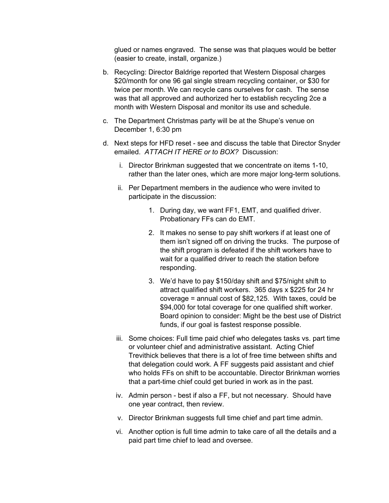glued or names engraved. The sense was that plaques would be better (easier to create, install, organize.)

- b. Recycling: Director Baldrige reported that Western Disposal charges \$20/month for one 96 gal single stream recycling container, or \$30 for twice per month. We can recycle cans ourselves for cash. The sense was that all approved and authorized her to establish recycling 2ce a month with Western Disposal and monitor its use and schedule.
- c. The Department Christmas party will be at the Shupe's venue on December 1, 6:30 pm
- d. Next steps for HFD reset see and discuss the table that Director Snyder emailed. *ATTACH IT HERE or to BOX?* Discussion:
	- i. Director Brinkman suggested that we concentrate on items 1-10, rather than the later ones, which are more major long-term solutions.
	- ii. Per Department members in the audience who were invited to participate in the discussion:
		- 1. During day, we want FF1, EMT, and qualified driver. Probationary FFs can do EMT.
		- 2. It makes no sense to pay shift workers if at least one of them isn't signed off on driving the trucks. The purpose of the shift program is defeated if the shift workers have to wait for a qualified driver to reach the station before responding.
		- 3. We'd have to pay \$150/day shift and \$75/night shift to attract qualified shift workers. 365 days x \$225 for 24 hr coverage = annual cost of \$82,125. With taxes, could be \$94,000 for total coverage for one qualified shift worker. Board opinion to consider: Might be the best use of District funds, if our goal is fastest response possible.
	- iii. Some choices: Full time paid chief who delegates tasks vs. part time or volunteer chief and administrative assistant. Acting Chief Trevithick believes that there is a lot of free time between shifts and that delegation could work. A FF suggests paid assistant and chief who holds FFs on shift to be accountable. Director Brinkman worries that a part-time chief could get buried in work as in the past.
	- iv. Admin person best if also a FF, but not necessary. Should have one year contract, then review.
	- v. Director Brinkman suggests full time chief and part time admin.
	- vi. Another option is full time admin to take care of all the details and a paid part time chief to lead and oversee.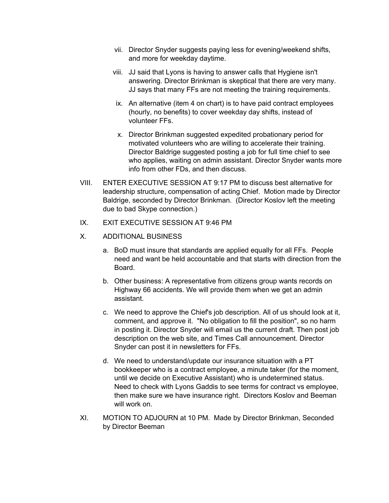- vii. Director Snyder suggests paying less for evening/weekend shifts, and more for weekday daytime.
- viii. JJ said that Lyons is having to answer calls that Hygiene isn't answering. Director Brinkman is skeptical that there are very many. JJ says that many FFs are not meeting the training requirements.
- ix. An alternative (item 4 on chart) is to have paid contract employees (hourly, no benefits) to cover weekday day shifts, instead of volunteer FFs.
- x. Director Brinkman suggested expedited probationary period for motivated volunteers who are willing to accelerate their training. Director Baldrige suggested posting a job for full time chief to see who applies, waiting on admin assistant. Director Snyder wants more info from other FDs, and then discuss.
- VIII. ENTER EXECUTIVE SESSION AT 9:17 PM to discuss best alternative for leadership structure, compensation of acting Chief. Motion made by Director Baldrige, seconded by Director Brinkman. (Director Koslov left the meeting due to bad Skype connection.)
- IX. EXIT EXECUTIVE SESSION AT 9:46 PM
- X. ADDITIONAL BUSINESS
	- a. BoD must insure that standards are applied equally for all FFs. People need and want be held accountable and that starts with direction from the Board.
	- b. Other business: A representative from citizens group wants records on Highway 66 accidents. We will provide them when we get an admin assistant.
	- c. We need to approve the Chief's job description. All of us should look at it, comment, and approve it. "No obligation to fill the position", so no harm in posting it. Director Snyder will email us the current draft. Then post job description on the web site, and Times Call announcement. Director Snyder can post it in newsletters for FFs.
	- d. We need to understand/update our insurance situation with a PT bookkeeper who is a contract employee, a minute taker (for the moment, until we decide on Executive Assistant) who is undetermined status. Need to check with Lyons Gaddis to see terms for contract vs employee, then make sure we have insurance right. Directors Koslov and Beeman will work on.
- XI. MOTION TO ADJOURN at 10 PM. Made by Director Brinkman, Seconded by Director Beeman